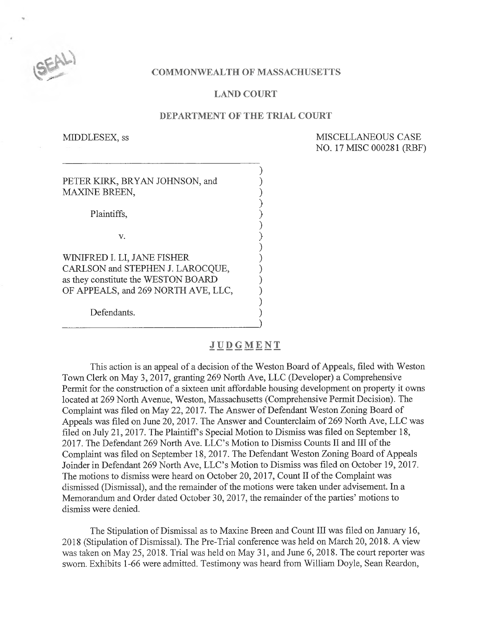

## COMMONWEALTH OF MASSACHUSETTS

## LAND COURT

## DEPARTMENT OF THE TRIAL COURT

MIDDLESEX, ss MISCELLANEOUS CASE NO. 17 MISC 000281 (RBF)

PETER KIRK, BRYAN JOHNSON, and MAXINE BREEN,

Plaintiffs,

v.

WINIFRED I. LI, JANE FISHER CARLSON and STEPHEN J. LAROCQUE, as they constitute the WESTON BOARD OF APPEALS, and 269 NORTH AVE, LLC,

Defendants.

## **JUDGMENT**

This action is an appeal of a decision of the Weston Board of Appeals, filed with Weston Town Clerk on May 3, 2017, granting 269 North Ave, LLC (Developer) a Comprehensive Permit for the construction of a sixteen unit affordable housing development on property it owns located at 269 North Avenue, Weston, Massachusetts (Comprehensive Permit Decision). The Complaint was filed on May 22, 2017. The Answer of Defendant Weston Zoning Board of Appeals was filed on June 20, 2017. The Answer and Counterclaim of 269 North Ave, LLC was filed on July 21, 2017. The Plaintiff's Special Motion to Dismiss was filed on September 18, 2017. The Defendant 269 North Ave. LLC's Motion to Dismiss Counts II and III of the Complaint was filed on September 18, 2017. The Defendant Weston Zoning Board of Appeals Joinder in Defendant 269 North Ave, LLC's Motion to Dismiss was filed on October 19, 2017. The motions to dismiss were heard on October 20, 2017, Count II of the Complaint was dismissed (Dismissal), and the remainder of the motions were taken under advisement. In a Memorandum and Order dated October 30, 2017, the remainder of the parties' motions to dismiss were denied.

The Stipulation of Dismissal as to Maxine Breen and Count III was filed on January 16, 2018 (Stipulation of Dismissal). The Pre-Trial conference was held on March 20, 2018. A view was taken on May 25, 2018. Trial was held on May 31, and June 6, 2018. The court reporter was sworn. Exhibits 1-66 were admitted. Testimony was heard from William Doyle, Sean Reardon,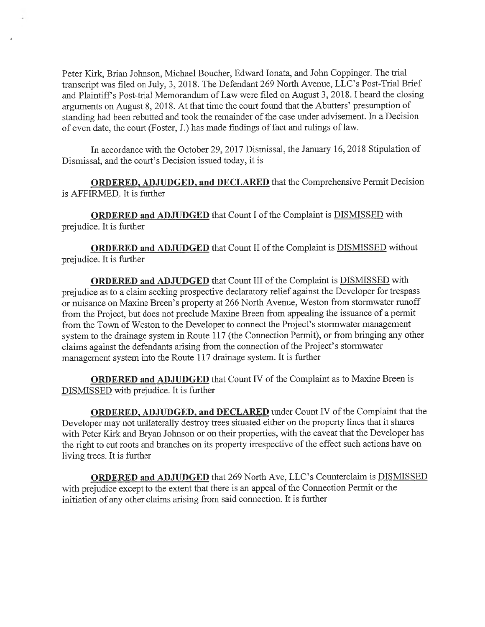Peter Kirk, Brian Johnson, Michael Boucher, Edward Ionata, and John Coppinger. The trial <sup>t</sup>ranscript was filed on July, 3, 2018. The Defendant 269 North Avenue, LLC's Post-Trial Brief and Plaintiff's Post-trial Memorandum of Law were filed on August 3, 2018. I heard the closing <sup>a</sup>rguments on August 8, 2018. At that time the court found that the Abutters' presumption of <sup>s</sup>tanding had been rebutted and took the remainder of the case under advisement. In a Decision <sup>o</sup>f even date, the court (Foster, J.) has made findings of fact and rulings of law.

<sup>I</sup>n accordance with the October 29, 2017 Dismissal, the January 16, 2018 Stipulation of <sup>D</sup>ismissal, and the court's Decision issued today, it is

<sup>O</sup>RDERED, ADJUDGED, and DECLARED that the Comprehensive Permit Decision i<sup>s</sup> AFFIRMED. It is further

ORDERED and ADJTJDGED that Count I of the Complaint is DISMISSED with prejudice. It is further

ORDERED and ADJUDGED that Count II of the Complaint is DISMISSED without prejudice. It is further

ORDERED and ADJUDGED that Count III of the Complaint is DISMISSED with <sup>p</sup>rejudice as to a claim seeking prospective declaratory relief against the Developer for trespass or nuisance on Maxine Breen's property at 266 North Avenue, Weston from stormwater runoff from the Project, but does not preclude Maxine Breen from appealing the issuance of a permit from the Town of Weston to the Developer to connect the Project's stormwater management system to the drainage system in Route 117 (the Connection Permit), or from bringing any other <sup>c</sup>laims against the defendants arising from the connection of the Project's stormwater <sup>m</sup>anagement system into the Route 117 drainage system. It is further

ORDERED and ADJUDGED that Count IV of the Complaint as to Maxine Breen is <sup>D</sup>ISMISSED with prejudice. It is further

<sup>O</sup>RDERED, ADJUDGED, and DECLARED under Count IV of the Complaint that the <sup>D</sup>eveloper may not unilaterally destroy trees situated either on the property lines that it shares <sup>w</sup>ith Peter Kirk and Bryan Johnson or on their properties, with the caveat that the Developer has <sup>t</sup>he right to cut roots and branches on its property irrespective of the effect such actions have on living trees. It is further

ORDERED and ADJUDGED that 269 North Ave, LLC's Counterclaim is DISMISSED <sup>w</sup>ith prejudice except to the extent that there is an appeal of the Connection Permit or the initiation of any other claims arising from said connection. It is further